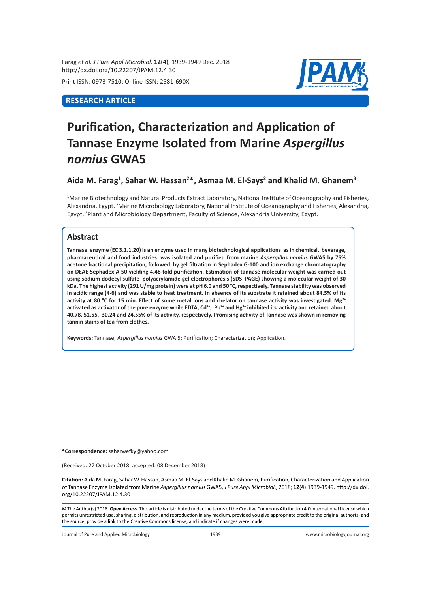Farag *et al. J Pure Appl Microbiol,* **12**(**4**), 1939-1949 Dec. 2018 http://dx.doi.org/10.22207/JPAM.12.4.30

Print ISSN: 0973-7510; Online ISSN: 2581-690X

# **RESEARCH ARTICLE**



# **Purification, Characterization and Application of Tannase Enzyme Isolated from Marine** *Aspergillus nomius* **GWA5**

**Aida M. Farag<sup>1</sup> , Sahar W. Hassan<sup>2</sup> \*, Asmaa M. El-Says<sup>2</sup> and Khalid M. Ghanem<sup>3</sup>**

1 Marine Biotechnology and Natural Products Extract Laboratory, National Institute of Oceanography and Fisheries, Alexandria, Egypt. <sup>2</sup>Marine Microbiology Laboratory, National Institute of Oceanography and Fisheries, Alexandria, Egypt. <sup>3</sup>Plant and Microbiology Department, Faculty of Science, Alexandria University, Egypt.

# **Abstract**

**Tannase enzyme (EC 3.1.1.20) is an enzyme used in many biotechnological applications as in chemical, beverage, pharmaceutical and food industries. was isolated and purified from marine** *Aspergillus nomius* **GWA5 by 75% acetone fractional precipitation, followed by gel filtration in Sephadex G-100 and ion exchange chromatography on DEAE-Sephadex A-50 yielding 4.48-fold purification. Estimation of tannase molecular weight was carried out using sodium dodecyl sulfate–polyacrylamide gel electrophoresis (SDS–PAGE) showing a molecular weight of 30 kDa. The highest activity (291 U/mg protein) were at pH 6.0 and 50 °C, respectively. Tannase stability was observed in acidic range (4-6) and was stable to heat treatment. In absence of its substrate it retained about 84.5% of its activity at 80 °C for 15 min. Effect of some metal ions and chelator on tannase activity was investigated. Mg2+ activated as activator of the pure enzyme while EDTA, Cd2+, Pb2+ and Hg2+ inhibited its activity and retained about 40.78, 51.55, 30.24 and 24.55% of its activity, respectively. Promising activity of Tannase was shown in removing tannin stains of tea from clothes.**

**Keywords:** Tannase; *Aspergillus nomius* GWA 5; Purification; Characterization; Application.

**\*Correspondence:** saharwefky@yahoo.com

(Received: 27 October 2018; accepted: 08 December 2018)

**Citation:** Aida M. Farag, Sahar W. Hassan, Asmaa M. El-Says and Khalid M. Ghanem, Purification, Characterization and Application of Tannase Enzyme Isolated from Marine *Aspergillus nomius* GWA5, *J Pure Appl Microbiol*., 2018; **12**(**4**):1939-1949. http://dx.doi. org/10.22207/JPAM.12.4.30

© The Author(s) 2018. **Open Access**. This article is distributed under the terms of the Creative Commons Attribution 4.0 International License which permits unrestricted use, sharing, distribution, and reproduction in any medium, provided you give appropriate credit to the original author(s) and the source, provide a link to the Creative Commons license, and indicate if changes were made.

Journal of Pure and Applied Microbiology 1939 www.microbiologyjournal.org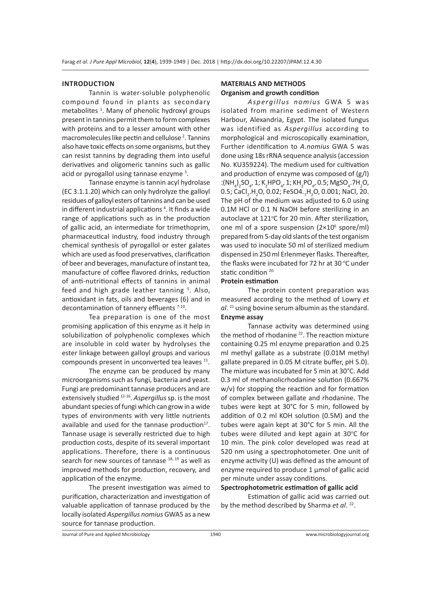#### **INTRODUCTION**

Tannin is water-soluble polyphenolic compound found in plants as secondary metabolites<sup>1</sup>. Many of phenolic hydroxyl groups present in tannins permit them to form complexes with proteins and to a lesser amount with other macromolecules like pectin and cellulose<sup>2</sup>. Tannins also have toxic effects on some organisms, but they can resist tannins by degrading them into useful derivatives and oligomeric tannins such as gallic acid or pyrogallol using tannase enzyme <sup>3</sup>.

Tannase enzyme is tannin acyl hydrolase (EC 3.1.1.20) which can only hydrolyze the galloyl residues of galloyl esters of tannins and can be used in different industrial applications<sup>4</sup>. It finds a wide range of applications such as in the production of gallic acid, an intermediate for trimethoprim, pharmaceutical industry, food industry through chemical synthesis of pyrogallol or ester galates which are used as food preservatives, clarification of beer and beverages, manufacture of instant tea, manufacture of coffee flavored drinks, reduction of anti-nutritional effects of tannins in animal feed and high grade leather tanning<sup>5</sup>. Also, antioxidant in fats, oils and beverages (6) and in decontamination of tannery effluents 7-10.

Tea preparation is one of the most promising application of this enzyme as it help in solubilization of polyphenolic complexes which are insoluble in cold water by hydrolyses the ester linkage between galloyl groups and various compounds present in unconverted tea leaves <sup>11</sup>.

The enzyme can be produced by many microorganisms such as fungi, bacteria and yeast. Fungi are predominant tannase producers and are extensively studied 12-16. *Aspergillus* sp. is the most abundant species of fungi which can grow in a wide types of environments with very little nutrients available and used for the tannase production $17$ . Tannase usage is severally restricted due to high production costs, despite of its several important applications. Therefore, there is a continuous search for new sources of tannase 18, 19 as well as improved methods for production, recovery, and application of the enzyme.

The present investigation was aimed to purification, characterization and investigation of valuable application of tannase produced by the locally isolated *Aspergillus nomius* GWA5 as a new source for tannase production.

# **MATERIALS AND METHODS Organism and growth condition**

*Aspergillus nomius* GWA 5 was isolated from marine sediment of Western Harbour, Alexandria, Egypt. The isolated fungus was identified as *Aspergillus* according to morphological and microscopically examination, Further identification to *A.nomius* GWA 5 was done using 18s rRNA sequence analysis (accession No. KU359224). The medium used for cultivation and production of enzyme was composed of (g/l) :(NH<sub>4</sub>)<sub>2</sub>SO<sub>4</sub>, 1; K<sub>2</sub>HPO<sub>4</sub>, 1; KH<sub>2</sub>PO<sub>4</sub>, 0.5; MgSO<sub>4</sub>.7H<sub>2</sub>O, 0.5; CaCl<sub>2</sub>.H<sub>2</sub>O, 0.02; FeSO4.<sub>7</sub>H<sub>2</sub>O, 0.001; NaCl, 20. The pH of the medium was adjusted to 6.0 using 0.1M HCl or 0.1 N NaOH before sterilizing in an autoclave at 121°C for 20 min. After sterilization, one ml of a spore suspension (2×10<sup>6</sup> spore/ml) prepared from 5-day old slants of the test organism was used to inoculate 50 ml of sterilized medium dispensed in 250 ml Erlenmeyer flasks. Thereafter, the flasks were incubated for 72 hr at 30 °C under static condition<sup>20.</sup>

# **Protein estimation**

The protein content preparation was measured according to the method of Lowry *et al*. 21 using bovine serum albumin as the standard. **Enzyme assay**

Tannase activity was determined using the method of rhodanine <sup>22</sup>. The reaction mixture containing 0.25 ml enzyme preparation and 0.25 ml methyl gallate as a substrate (0.01M methyl gallate prepared in 0.05 M citrate buffer, pH 5.0). The mixture was incubated for 5 min at 30°C. Add 0.3 ml of methanolicrhodanine solution (0.667% w/v) for stopping the reaction and for formation of complex between gallate and rhodanine. The tubes were kept at 30°C for 5 min, followed by addition of 0.2 ml KOH solution (0.5M) and the tubes were again kept at 30°C for 5 min. All the tubes were diluted and kept again at  $30^{\circ}$ C for 10 min. The pink color developed was read at 520 nm using a spectrophotometer. One unit of enzyme activity (U) was defined as the amount of enzyme required to produce 1 µmol of gallic acid per minute under assay conditions.

## **Spectrophotometric estimation of gallic acid**

Estimation of gallic acid was carried out by the method described by Sharma *et al*. 22.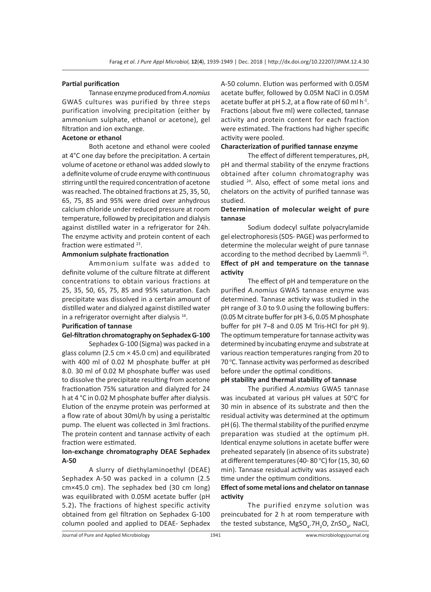#### **Partial purification**

Tannase enzyme produced from *A.nomius* GWA5 cultures was purified by three steps purification involving precipitation (either by ammonium sulphate, ethanol or acetone), gel filtration and ion exchange.

#### **Acetone or ethanol**

Both acetone and ethanol were cooled at 4°C one day before the precipitation. A certain volume of acetone or ethanol was added slowly to a definite volume of crude enzyme with continuous stirring until the required concentration of acetone was reached. The obtained fractions at 25, 35, 50, 65, 75, 85 and 95% were dried over anhydrous calcium chloride under reduced pressure at room temperature, followed by precipitation and dialysis against distilled water in a refrigerator for 24h. The enzyme activity and protein content of each fraction were estimated <sup>23</sup>.

# **Ammonium sulphate fractionation**

Ammonium sulfate was added to definite volume of the culture filtrate at different concentrations to obtain various fractions at 25, 35, 50, 65, 75, 85 and 95% saturation. Each precipitate was dissolved in a certain amount of distilled water and dialyzed against distilled water in a refrigerator overnight after dialysis 16.

#### **Purification of tannase**

# **Gel-filtration chromatography on Sephadex G-100**

Sephadex G-100 (Sigma) was packed in a glass column (2.5 cm × 45.0 cm) and equilibrated with 400 ml of 0.02 M phosphate buffer at pH 8.0. 30 ml of 0.02 M phosphate buffer was used to dissolve the precipitate resulting from acetone fractionation 75% saturation and dialyzed for 24 h at 4 °C in 0.02 M phosphate buffer after dialysis. Elution of the enzyme protein was performed at a flow rate of about 30ml/h by using a peristaltic pump. The eluent was collected in 3ml fractions. The protein content and tannase activity of each fraction were estimated.

# **Ion-exchange chromatography DEAE Sephadex A-50**

A slurry of diethylaminoethyl (DEAE) Sephadex A-50 was packed in a column (2.5 cm×45.0 cm). The sephadex bed (30 cm long) was equilibrated with 0.05M acetate buffer (pH 5.2)**.** The fractions of highest specific activity obtained from gel filtration on Sephadex G-100 column pooled and applied to DEAE- Sephadex A-50 column. Elution was performed with 0.05M acetate buffer, followed by 0.05M NaCl in 0.05M acetate buffer at pH 5.2, at a flow rate of 60 ml  $h^{-1}$ . Fractions (about five ml) were collected, tannase activity and protein content for each fraction were estimated. The fractions had higher specific activity were pooled.

# **Characterization of purified tannase enzyme**

The effect of different temperatures, pH, pH and thermal stability of the enzyme fractions obtained after column chromatography was studied 24. Also, effect of some metal ions and chelators on the activity of purified tannase was studied.

# **Determination of molecular weight of pure tannase**

Sodium dodecyl sulfate polyacrylamide gel electrophoresis (SDS- PAGE) was performed to determine the molecular weight of pure tannase according to the method decribed by Laemmli<sup>25</sup>. **Effect of pH and temperature on the tannase activity**

The effect of pH and temperature on the purified *A.nomius* GWA5 tannase enzyme was determined. Tannase activity was studied in the pH range of 3.0 to 9.0 using the following buffers: (0.05 M citrate buffer for pH 3-6, 0.05 M phosphate buffer for pH 7–8 and 0.05 M Tris-HCl for pH 9). The optimum temperature for tannase activity was determined by incubating enzyme and substrate at various reaction temperatures ranging from 20 to 70 °C. Tannase activity was performed as described before under the optimal conditions.

#### **pH stability and thermal stability of tannase**

The purified *A.nomius* GWA5 tannase was incubated at various pH values at 50°C for 30 min in absence of its substrate and then the residual activity was determined at the optimum pH (6). The thermal stability of the purified enzyme preparation was studied at the optimum pH. Identical enzyme solutions in acetate buffer were preheated separately (in absence of its substrate) at different temperatures (40-80 °C) for (15, 30, 60 min). Tannase residual activity was assayed each time under the optimum conditions.

## **Effect of some metal ions and chelator on tannase activity**

The purified enzyme solution was preincubated for 2 h at room temperature with the tested substance, MgSO<sub>4</sub>.7H<sub>2</sub>O, ZnSO<sub>4</sub>, NaCl,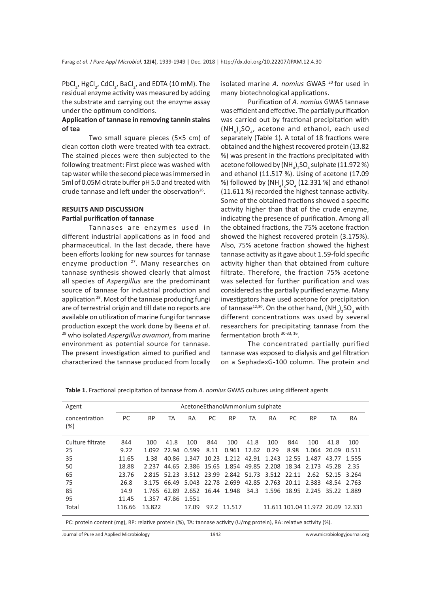PbCl<sub>2</sub>, HgCl<sub>2</sub>, CdCl<sub>2</sub>, BaCl<sub>2</sub>, and EDTA (10 mM). The residual enzyme activity was measured by adding the substrate and carrying out the enzyme assay under the optimum conditions.

# **Application of tannase in removing tannin stains of tea**

Two small square pieces (5×5 cm) of clean cotton cloth were treated with tea extract. The stained pieces were then subjected to the following treatment: First piece was washed with tap water while the second piece was immersed in 5ml of 0.05M citrate buffer pH 5.0 and treated with crude tannase and left under the observation $26$ .

# **RESULTS AND DISCUSSION Partial purification of tannase**

Tannases are enzymes used in different industrial applications as in food and pharmaceutical. In the last decade, there have been efforts looking for new sources for tannase enzyme production <sup>27</sup>. Many researches on tannase synthesis showed clearly that almost all species of *Aspergillus* are the predominant source of tannase for industrial production and application<sup>28</sup>. Most of the tannase producing fungi are of terrestrial origin and till date no reports are available on utilization of marine fungi for tannase production except the work done by Beena *et al*. 29 who isolated *Aspergillus awamori*, from marine environment as potential source for tannase. The present investigation aimed to purified and characterized the tannase produced from locally isolated marine *A. nomius* GWA5 20 for used in many biotechnological applications.

Purification of *A. nomius* GWA5 tannase was efficient and effective. The partially purification was carried out by fractional precipitation with  $(\text{NH}_4)_2\text{SO}_4$ , acetone and ethanol, each used separately (Table 1). A total of 18 fractions were obtained and the highest recovered protein (13.82 %) was present in the fractions precipitated with acetone followed by (NH $_{\rm 4})_{\rm 2}$ SO $_{\rm 4}$  sulphate (11.972 %) and ethanol (11.517 %). Using of acetone (17.09 %) followed by  $(NH_4)_2$ SO<sub>4</sub> (12.331 %) and ethanol (11.611 %) recorded the highest tannase activity. Some of the obtained fractions showed a specific activity higher than that of the crude enzyme, indicating the presence of purification. Among all the obtained fractions, the 75% acetone fraction showed the highest recovered protein (3.175%). Also, 75% acetone fraction showed the highest tannase activity as it gave about 1.59-fold specific activity higher than that obtained from culture filtrate. Therefore, the fraction 75% acetone was selected for further purification and was considered as the partially purified enzyme. Many investigators have used acetone for precipitation of tannase $^{12,30}$ . On the other hand, (NH<sub>4</sub>)<sub>2</sub>SO<sub>4</sub> with different concentrations was used by several researchers for precipitating tannase from the fermentation broth 30-33, 16.

The concentrated partially purified tannase was exposed to dialysis and gel filtration on a SephadexG-100 column. The protein and

| Agent                                                                                                               | AcetoneEthanolAmmonium sulphate |           |                   |       |      |                                                       |      |      |      |                                   |       |             |
|---------------------------------------------------------------------------------------------------------------------|---------------------------------|-----------|-------------------|-------|------|-------------------------------------------------------|------|------|------|-----------------------------------|-------|-------------|
| concentration<br>(%)                                                                                                | PC                              | <b>RP</b> | TA                | RA    | PC   | <b>RP</b>                                             | TA   | RA   | PC   | <b>RP</b>                         | TA    | <b>RA</b>   |
| Culture filtrate                                                                                                    | 844                             | 100       | 41.8              | 100   | 844  | 100                                                   | 41.8 | 100  | 844  | 100                               | 41.8  | 100         |
| 25                                                                                                                  | 9.22                            | 1.092     | 22.94             | 0.599 | 8.11 | 0.961 12.62                                           |      | 0.29 | 8.98 | 1.064                             | 20.09 | 0.511       |
| 35                                                                                                                  | 11.65                           | 1.38      |                   |       |      | 40.86 1.347 10.23 1.212 42.91 1.243 12.55 1.487       |      |      |      |                                   |       | 43.77 1.555 |
| 50                                                                                                                  | 18.88                           | 2.237     |                   |       |      | 44.65 2.386 15.65 1.854 49.85 2.208 18.34 2.173       |      |      |      |                                   | 45.28 | 2.35        |
| 65                                                                                                                  | 23.76                           | 2.815     | 52.23             |       |      | 3.512 23.99 2.842 51.73 3.512 22.11                   |      |      |      | 2.62                              | 52.15 | 3.264       |
| 75                                                                                                                  | 26.8                            |           |                   |       |      | 3.175 66.49 5.043 22.78 2.699 42.85 2.763 20.11 2.383 |      |      |      |                                   |       | 48.54 2.763 |
| 85                                                                                                                  | 14.9                            |           | 1.765 62.89       |       |      | 2.652 16.44 1.948 34.3 1.596 18.95 2.245 35.22 1.889  |      |      |      |                                   |       |             |
| 95                                                                                                                  | 11.45                           |           | 1.357 47.86 1.551 |       |      |                                                       |      |      |      |                                   |       |             |
| Total                                                                                                               | 116.66                          | 13.822    |                   | 17.09 |      | 97.2 11.517                                           |      |      |      | 11.611 101.04 11.972 20.09 12.331 |       |             |
| PC: protein content (mg), RP: relative protein (%), TA: tannase activity (U/mg protein), RA: relative activity (%). |                                 |           |                   |       |      |                                                       |      |      |      |                                   |       |             |

**Table 1.** Fractional precipitation of tannase from *A. nomius* GWA5 cultures using different agents

Journal of Pure and Applied Microbiology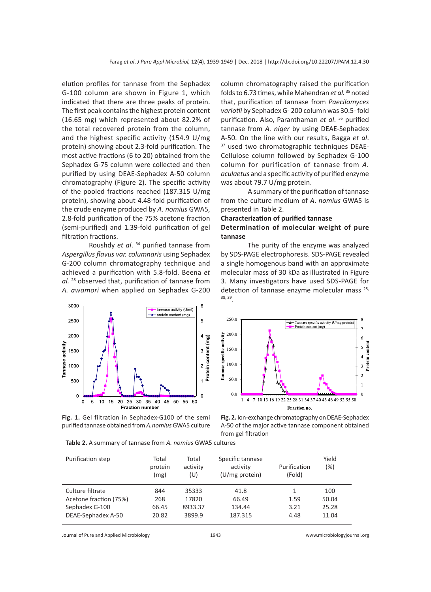elution profiles for tannase from the Sephadex G-100 column are shown in Figure 1, which indicated that there are three peaks of protein. The first peak contains the highest protein content (16.65 mg) which represented about 82.2% of the total recovered protein from the column, and the highest specific activity (154.9 U/mg protein) showing about 2.3-fold purification. The most active fractions (6 to 20) obtained from the Sephadex G-75 column were collected and then purified by using DEAE-Sephadex A-50 column chromatography (Figure 2). The specific activity of the pooled fractions reached (187.315 U/mg protein), showing about 4.48-fold purification of the crude enzyme produced by *A. nomius* GWA5, 2.8-fold purification of the 75% acetone fraction (semi-purified) and 1.39-fold purification of gel filtration fractions.

Roushdy *et al*. 34 purified tannase from *Aspergillus flavus var. columnaris* using Sephadex G-200 column chromatography technique and achieved a purification with 5.8-fold. Beena *et al.* 28 observed that, purification of tannase from *A. awamori* when applied on Sephadex G-200



**Fig. 1.** Gel filtration in Sephadex-G100 of the semi purified tannase obtained from *A.nomius* GWA5 culture column chromatography raised the purification folds to 6.73 times, while Mahendran *et al.* 35 noted that, purification of tannase from *Paecilomyces variotii* by Sephadex G- 200 column was 30.5- fold purification. Also, Paranthaman *et al*. 36 purified tannase from *A. niger* by using DEAE-Sephadex A-50. On the line with our results, Bagga *et al*. 37 used two chromatographic techniques DEAE-Cellulose column followed by Sephadex G-100 column for purification of tannase from *A. aculaetus* and a specific activity of purified enzyme was about 79.7 U/mg protein.

A summary of the purification of tannase from the culture medium of *A*. *nomius* GWA5 is presented in Table 2.

#### **Characterization of purified tannase**

# **Determination of molecular weight of pure tannase**

The purity of the enzyme was analyzed by SDS-PAGE electrophoresis. SDS-PAGE revealed a single homogenous band with an approximate molecular mass of 30 kDa as illustrated in Figure 3. Many investigators have used SDS-PAGE for detection of tannase enzyme molecular mass 28, 38, 39.



**Fig. 2.** Ion-exchange chromatography on DEAE-Sephadex A-50 of the major active tannase component obtained from gel filtration

| Table 2. A summary of tannase from A. nomius GWA5 cultures |  |
|------------------------------------------------------------|--|
|                                                            |  |

| Purification step      | Total<br>protein<br>(mg) | Total<br>activity<br>(U) | Specific tannase<br>activity<br>(U/mg protein) | Purification<br>(Fold) | Yield<br>(%) |
|------------------------|--------------------------|--------------------------|------------------------------------------------|------------------------|--------------|
| Culture filtrate       | 844                      | 35333                    | 41.8                                           | 1                      | 100          |
| Acetone fraction (75%) | 268                      | 17820                    | 66.49                                          | 1.59                   | 50.04        |
| Sephadex G-100         | 66.45                    | 8933.37                  | 134.44                                         | 3.21                   | 25.28        |
| DEAE-Sephadex A-50     | 20.82                    | 3899.9                   | 187.315                                        | 4.48                   | 11.04        |

Journal of Pure and Applied Microbiology 1943 www.microbiologyjournal.org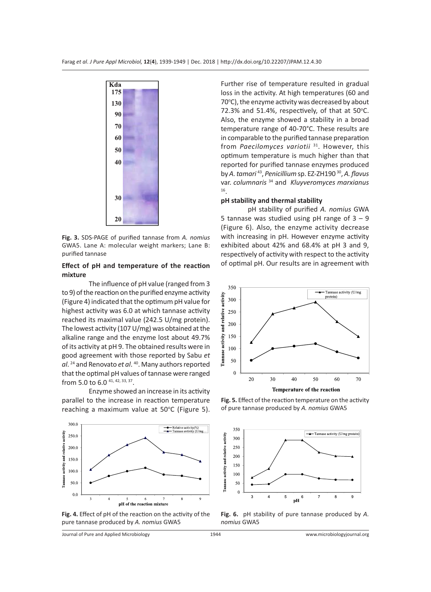

**Fig. 3.** SDS-PAGE of purified tannase from *A. nomius* GWA5. Lane A: molecular weight markers; Lane B: purified tannase

## **Effect of pH and temperature of the reaction mixture**

The influence of pH value (ranged from 3 to 9) of the reaction on the purified enzyme activity (Figure 4) indicated that the optimum pH value for highest activity was 6.0 at which tannase activity reached its maximal value (242.5 U/mg protein). The lowest activity (107 U/mg) was obtained at the alkaline range and the enzyme lost about 49.7% of its activity at pH 9. The obtained results were in good agreement with those reported by Sabu *et al*. 24 and Renovato *et al*. 40. Many authors reported that the optimal pH values of tannase were ranged from 5.0 to 6.0 41, 42, 33, 37.

Enzyme showed an increase in its activity parallel to the increase in reaction temperature reaching a maximum value at 50°C (Figure 5).



**Fig. 4.** Effect of pH of the reaction on the activity of the pure tannase produced by *A. nomius* GWA5

Further rise of temperature resulted in gradual loss in the activity. At high temperatures (60 and 70°C), the enzyme activity was decreased by about 72.3% and 51.4%, respectively, of that at  $50^{\circ}$ C. Also, the enzyme showed a stability in a broad temperature range of 40-70°C. These results are in comparable to the purified tannase preparation from *Paecilomyces variotii* 31. However, this optimum temperature is much higher than that reported for purified tannase enzymes produced by *A. tamari* 43, *Penicillium* sp. EZ-ZH190 30, *A. flavus*  var. *columnaris* 34 and *Kluyveromyces marxianus* 16.

## **pH stability and thermal stability**

pH stability of purified *A. nomius* GWA 5 tannase was studied using pH range of  $3 - 9$ (Figure 6). Also, the enzyme activity decrease with increasing in pH. However enzyme activity exhibited about 42% and 68.4% at pH 3 and 9, respectively of activity with respect to the activity of optimal pH. Our results are in agreement with



**Fig. 5.** Effect of the reaction temperature on the activity of pure tannase produced by *A. nomius* GWA5



**Fig. 6.** pH stability of pure tannase produced by *A. nomius* GWA5

Journal of Pure and Applied Microbiology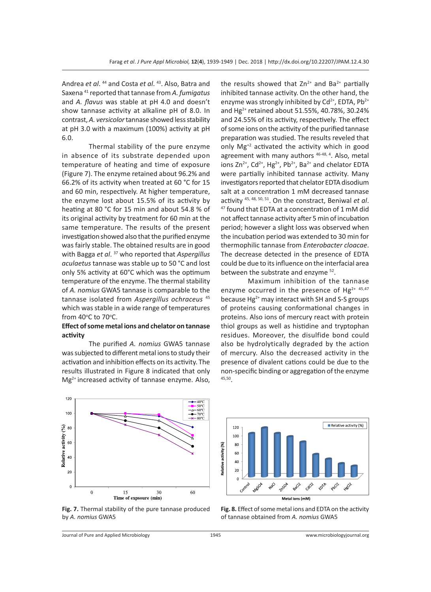Andrea *et al*. 44 and Costa *et al*. 43. Also, Batra and Saxena 41 reported that tannase from *A. fumigatus* and *A. flavus* was stable at pH 4.0 and doesn't show tannase activity at alkaline pH of 8.0. In contrast, *A. versicolor* tannase showed less stability at pH 3.0 with a maximum (100%) activity at pH 6.0.

Thermal stability of the pure enzyme in absence of its substrate depended upon temperature of heating and time of exposure (Figure 7). The enzyme retained about 96.2% and 66.2% of its activity when treated at 60 °C for 15 and 60 min, respectively. At higher temperature, the enzyme lost about 15.5% of its activity by heating at 80 °C for 15 min and about 54.8 % of its original activity by treatment for 60 min at the same temperature. The results of the present investigation showed also that the purified enzyme was fairly stable. The obtained results are in good with Bagga *et al*. 37 who reported that *Aspergillus aculaetus* tannase was stable up to 50 °C and lost only 5% activity at 60°C which was the optimum temperature of the enzyme. The thermal stability of *A. nomius* GWA5 tannase is comparable to the tannase isolated from *Aspergillus ochraceus* <sup>45</sup> which was stable in a wide range of temperatures from 40°C to 70°C.

# **Effect of some metal ions and chelator on tannase activity**

The purified *A. nomius* GWA5 tannase was subjected to different metal ions to study their activation and inhibition effects on its activity. The results illustrated in Figure 8 indicated that only Mg<sup>2+</sup> increased activity of tannase enzyme. Also, the results showed that  $Zn^{2+}$  and Ba<sup>2+</sup> partially inhibited tannase activity. On the other hand, the enzyme was strongly inhibited by  $Cd^{2+}$ , EDTA,  $Pb^{2+}$ and Hg<sup>2+</sup> retained about 51.55%, 40.78%, 30.24% and 24.55% of its activity, respectively. The effect of some ions on the activity of the purified tannase preparation was studied. The results reveled that only Mg+2 activated the activity which in good agreement with many authors <sup>46-48, 4</sup>. Also, metal ions  $\text{Zn}^{2+}$ ,  $\text{Cd}^{2+}$ , Hg<sup>2+</sup>, Pb<sup>2+</sup>, Ba<sup>2+</sup> and chelator EDTA were partially inhibited tannase activity. Many investigators reported that chelator EDTA disodium salt at a concentration 1 mM decreased tannase activity 45, 48, 50, 51. On the constract, Beniwal *et al*. 47 found that EDTA at a concentration of 1 mM did not affect tannase activity after 5 min of incubation period; however a slight loss was observed when the incubation period was extended to 30 min for thermophilic tannase from *Enterobacter cloacae*. The decrease detected in the presence of EDTA could be due to its influence on the interfacial area between the substrate and enzyme <sup>52</sup>.

Maximum inhibition of the tannase enzyme occurred in the presence of  $Hg^{2+45,47}$ because Hg<sup>2+</sup> may interact with SH and S-S groups of proteins causing conformational changes in proteins. Also ions of mercury react with protein thiol groups as well as histidine and tryptophan residues. Moreover, the disulfide bond could also be hydrolytically degraded by the action of mercury. Also the decreased activity in the presence of divalent cations could be due to the non-specific binding or aggregation of the enzyme 45,50.



**Fig. 7.** Thermal stability of the pure tannase produced by *A. nomius* GWA5



**Fig. 8.** Effect of some metal ions and EDTA on the activity of tannase obtained from *A. nomius* GWA5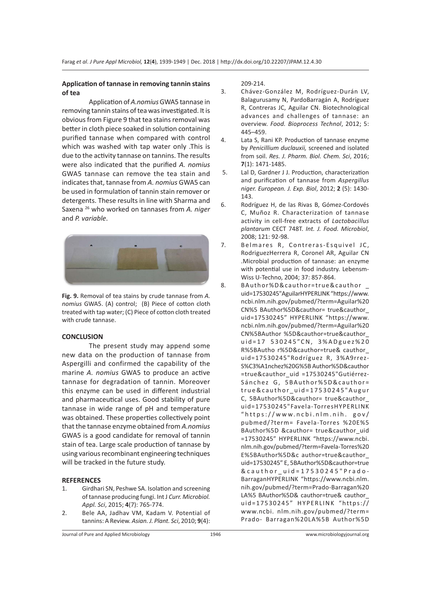## **Application of tannase in removing tannin stains of tea**

Application of *A.nomius* GWA5 tannase in removing tannin stains of tea was investigated. It is obvious from Figure 9 that tea stains removal was better in cloth piece soaked in solution containing purified tannase when compared with control which was washed with tap water only .This is due to the activity tannase on tannins. The results were also indicated that the purified *A. nomius* GWA5 tannase can remove the tea stain and indicates that, tannase from *A. nomius* GWA5 can be used in formulation of tannin stain remover or detergents. These results in line with Sharma and Saxena 26 who worked on tannases from *A. niger*  and *P. variable*.



**Fig. 9.** Removal of tea stains by crude tannase from *A. nomius* GWA5. (A) control; (B) Piece of cotton cloth treated with tap water; (C) Piece of cotton cloth treated with crude tannase.

#### **CONCLUSION**

The present study may append some new data on the production of tannase from Aspergilli and confirmed the capability of the marine *A. nomius* GWA5 to produce an active tannase for degradation of tannin. Moreover this enzyme can be used in different industrial and pharmaceutical uses. Good stability of pure tannase in wide range of pH and temperature was obtained. These properties collectively point that the tannase enzyme obtained from *A.nomius*  GWA5 is a good candidate for removal of tannin stain of tea. Large scale production of tannase by using various recombinant engineering techniques will be tracked in the future study.

## **REFERENCES**

- 1. Girdhari SN, Peshwe SA. Isolation and screening of tannase producing fungi. Int J *Curr. Microbiol. Appl. Sci*, 2015; **4**(7): 765-774.
- 2. Bele AA, Jadhav VM, Kadam V. Potential of tannins: A Review. *Asian. J. Plant. Sci*, 2010; **9**(4):

209-214.

- 3. Chávez-González M, Rodríguez-Durán LV, Balagurusamy N, PardoBarragán A, Rodríguez R, Contreras JC, Aguilar CN. Biotechnological advances and challenges of tannase: an overview. *Food. Bioprocess Technol*, 2012; 5: 445–459.
- 4. Lata S, Rani KP. Production of tannase enzyme by *Penicillium duclauxii,* screened and isolated from soil. *Res. J. Pharm. Biol. Chem. Sci*, 2016; **7**(1): 1471-1485.
- 5. Lal D, Gardner J J. Production, characterization and purification of tannase from *Aspergillus niger. European. J. Exp. Biol*, 2012; **2** (5): 1430- 143.
- 6. Rodríguez H, de las Rivas B, Gómez-Cordovés C, Muñoz R. Characterization of tannase activity in cell-free extracts of *Lactobacillus plantarum* CECT 748T. *Int. J. Food. Microbiol*, 2008; 121: 92-98.
- 7. Belmares R, Contreras-Esquivel JC, RodriguezHerrera R, Coronel AR, Aguilar CN .Microbial production of tannase: an enzyme with potential use in food industry. Lebensm-Wiss U-Techno, 2004; 37: 857-864.
- 8. BAuthor%D&cauthor=true&cauthor uid=17530245"AguilarHYPERLINK "https://www. ncbi.nlm.nih.gov/pubmed/?term=Aguilar%20 CN%5 BAuthor%5D&cauthor= true&cauthor\_ uid=17530245" HYPERLINK "https://www. ncbi.nlm.nih.gov/pubmed/?term=Aguilar%20 CN%5BAuthor %5D&cauthor=true&cauthor\_ uid=17 530245"CN, 3%ADguez%20 R%5BAutho r%5D&cauthor=true& cauthor\_ uid=17530245"Rodríguez R, 3%A9rrez-S%C3%A1nchez%20G%5B Author%5D&cauthor =true&cauthor\_uid =17530245"Gutiérrez-Sánchez G, 5 B Author % 5 D & cauthor = true&cauthor\_uid=17530245"Augur C, 5BAuthor%5D&cauthor= true&cauthor\_ uid=17530245"Favela-TorresHYPERLINK "https://www.ncbi.nlm.nih. gov/ pubmed/?term= Favela-Torres %20E%5 BAuthor%5D &cauthor= true&cauthor\_uid =17530245" HYPERLINK "https://www.ncbi. nlm.nih.gov/pubmed/?term=Favela-Torres%20 E%5BAuthor%5D&c author=true&cauthor\_ uid=17530245" E, 5BAuthor%5D&cauthor=true &cauthor\_uid=17530245"Prado-BarraganHYPERLINK "https://www.ncbi.nlm. nih.gov/pubmed/?term=Prado-Barragan%20 LA%5 BAuthor%5D& cauthor=true& cauthor\_ uid=17530245" HYPERLINK "https:// www.ncbi. nlm.nih.gov/pubmed/?term= Prado- Barragan%20LA%5B Author%5D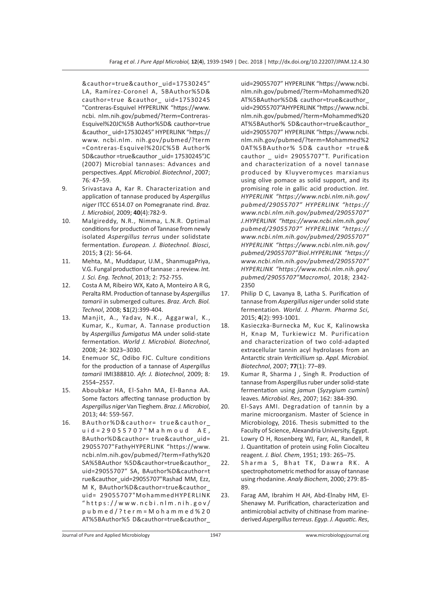&cauthor=true&cauthor\_uid=17530245" LA, Ramírez-Coronel A, 5BAuthor%5D& cauthor=true &cauthor\_ uid=17530245 "Contreras-Esquivel HYPERLINK "https://www. ncbi. nlm.nih.gov/pubmed/?term=Contreras-Esquivel%20JC%5B Author%5D& cauthor=true &cauthor\_ uid=17530245" HYPERLINK "https:// www. ncbi.nlm. nih.gov/pubmed/?term =Contreras-Esquivel%20JC%5B Author% 5D&cauthor =true&cauthor \_uid= 17530245"JC (2007) Microbial tannases: Advances and perspectives. *Appl. Microbiol. Biotechnol* , 2007; 76*:* 47–59.

- 9. Srivastava A, Kar R. Characterization and application of tannase produced by *Aspergillus niger* ITCC 6514.07 on Pomegranate rind. *Braz. J. Microbiol*, 2009; **40**(4):782-9.
- 10. Malgireddy, N.R., Nimma, L.N.R. Optimal conditions for production of Tannase from newly isolated *Aspergillus terrus* under solidstate fermentation. *European. J. Biotechnol. Biosci*, 2015; **3** (2): 56-64.
- 11. Mehta, M., Muddapur, U.M., ShanmugaPriya, V.G. Fungal production of tannase : a review. *Int. J. Sci. Eng. Technol*, 2013; 2: 752-755.
- 12. Costa A M, Ribeiro WX, Kato A, Monteiro A R G, Peralta RM. Production of tannase by *Aspergillus tamarii* in submerged cultures. *Braz. Arch. Biol. Technol*, 2008; **51**(2):399-404.
- 13. Manjit, A., Yadav, N.K., Aggarwal, K., Kumar, K., Kumar, A. Tannase production by *Aspergillus fumigatus* MA under solid-state fermentation. *World J. Microbiol. Biotechnol*, 2008; 24: 3023–3030.
- 14. Enemuor SC, Odibo FJC. Culture conditions for the production of a tannase of *Aspergillus tamarii* IMI388810. *Afr. J. Biotechnol*, 2009; 8*:*  2554–2557.
- 15. Aboubkar HA, El-Sahn MA, El-Banna AA. Some factors affecting tannase production by *Aspergillus niger* Van Tieghem. *Braz. J. Microbiol*, 2013; 44: 559-567.
- 16. BAuthor%D&cauthor= true&cauthor\_ u i d = 2 9 0 5 5 7 0 7 " M a h m o u d A E , BAuthor%D&cauthor= true&cauthor\_uid= 29055707"FathyHYPERLINK "https://www. ncbi.nlm.nih.gov/pubmed/?term=Fathy%20 SA%5BAuthor %5D&cauthor=true&cauthor\_ uid=29055707" SA, BAuthor%D&cauthor=t rue&cauthor\_uid=29055707"Rashad MM, Ezz, M K, BAuthor%D&cauthor=true&cauthor\_ uid= 29055707"MohammedHYPERLINK "https://www.ncbi.nlm.nih.gov/ pubmed/?term=Mohammed%20 AT%5BAuthor%5 D&cauthor=true&cauthor\_

uid=29055707" HYPERLINK "https://www.ncbi. nlm.nih.gov/pubmed/?term=Mohammed%20 AT%5BAuthor%5D& cauthor=true&cauthor\_ uid=29055707"AHYPERLINK "https://www.ncbi. nlm.nih.gov/pubmed/?term=Mohammed%20 AT%5BAuthor% 5D&cauthor=true&cauthor\_ uid=29055707" HYPERLINK "https://www.ncbi. nlm.nih.gov/pubmed/?term=Mohammed%2 0AT%5BAuthor% 5D& cauthor =true& cauthor \_ uid= 29055707"T. Purification and characterization of a novel tannase produced by Kluyveromyces marxianus using olive pomace as solid support, and its promising role in gallic acid production. *Int. HYPERLINK "https://www.ncbi.nlm.nih.gov/ pubmed/29055707" HYPERLINK "https:// www.ncbi.nlm.nih.gov/pubmed/29055707" J.HYPERLINK "https://www.ncbi.nlm.nih.gov/ pubmed/29055707" HYPERLINK "https:// www.ncbi.nlm.nih.gov/pubmed/29055707" HYPERLINK "https://www.ncbi.nlm.nih.gov/ pubmed/29055707"Biol.HYPERLINK "https:// www.ncbi.nlm.nih.gov/pubmed/29055707" HYPERLINK "https://www.ncbi.nlm.nih.gov/ pubmed/29055707"Macromol*, 2018; 2342- 2350

- 17. Philip D C, Lavanya B, Latha S. Purification of tannase from *Aspergillus niger* under solid state fermentation. *World. J. Pharm. Pharma Sci*, 2015; **4**(2): 993-1001.
- 18. Kasieczka-Burnecka M, Kuc K, Kalinowska H, Knap M, Turkiewicz M. Purification and characterization of two cold-adapted extracellular tannin acyl hydrolases from an Antarctic strain *Verticillium* sp. *Appl. Microbiol. Biotechnol*, 2007; **77**(1): 77–89.
- 19. Kumar R, Sharma J , Singh R. Production of tannase from Aspergillus ruber under solid-state fermentation using *jamun* (*Syzygium cumini*) leaves. *Microbiol. Res*, 2007; 162: 384-390.
- 20. El-Says AMI. Degradation of tannin by a marine microorganism. Master of Science in Microbiology, 2016. Thesis submitted to the Faculty of Science, Alexandria University, Egypt.
- 21. Lowry O H, Rosenberg WJ, Farr, AL, Randell, R J. Quantitation of protein using Folin Ciocalteu reagent. *J. Biol. Chem*, 1951; 193: 265–75.
- 22. Sharma S, Bhat TK, Dawra RK. A spectrophotometric method for assay of tannase using rhodanine. *Analy Biochem*, 2000; 279: 85- 89.
- 23. Farag AM, Ibrahim H AH, Abd-Elnaby HM, El-Shenawy M. Purification, characterization and antimicrobial activity of chitinase from marinederived *Aspergillus terreus*. *Egyp. J. Aquatic. Res*,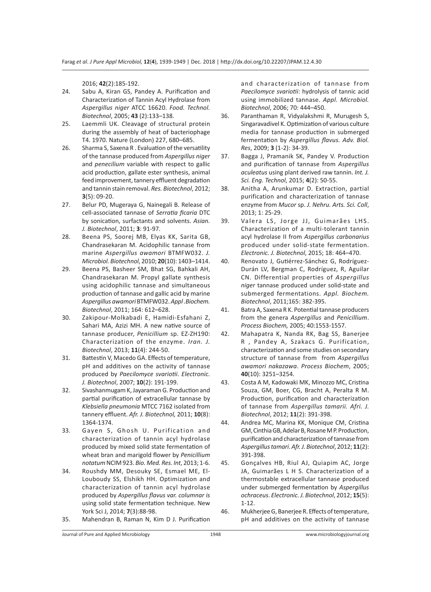2016; **42**(2):185-192.

- 24. Sabu A, Kiran GS, Pandey A. Purification and Characterization of Tannin Acyl Hydrolase from *Aspergillus niger* ATCC 16620. *Food. Technol. Biotechnol*, 2005; **43** (2):133–138.
- 25. Laemmli UK. Cleavage of structural protein during the assembly of heat of bacteriophage T4. 1970. Nature (London) 227, 680–685.
- 26. Sharma S, Saxena R . Evaluation of the versatility of the tannase produced from *Aspergillus niger* and *penecilium* variable with respect to gallic acid production, gallate ester synthesis, animal feed improvement, tannery effluent degradation and tannin stain removal. *Res. Biotechnol*, 2012; **3**(5): 09-20.
- 27. Belur PD, Mugeraya G, Nainegali B. Release of cell-associated tannase of *Serratia ficaria* DTC by sonication, surfactants and solvents. *Asian. J. Biotechnol*, 2011; **3**: 91-97.
- 28. Beena PS, Soorej MB, Elyas KK, Sarita GB, Chandrasekaran M. Acidophilic tannase from marine *Aspergillus awamori* BTMFW032. *J. Microbiol. Biotechnol*, 2010; **20**(10): 1403–1414.
- 29. Beena PS, Basheer SM, Bhat SG, Bahkali AH, Chandrasekaran M. Propyl gallate synthesis using acidophilic tannase and simultaneous production of tannase and gallic acid by marine *Aspergillus awamori* BTMFW032. *Appl .Biochem. Biotechnol*, 2011; 164: 612–628.
- 30. Zakipour-Molkabadi E, Hamidi-Esfahani Z, Sahari MA, Azizi MH. A new native source of tannase producer, *Penicillium* sp. EZ-ZH190: Characterization of the enzyme. *Iran. J. Biotechnol*, 2013; **11**(4): 244-50.
- 31. Battestin V, Macedo GA. Effects of temperature, pH and additives on the activity of tannase produced by *Paecilomyce svariotii*. *Electronic. J. Biotechnol*, 2007; **10**(2): 191-199.
- 32. Sivashanmugam K, Jayaraman G. Production and partial purification of extracellular tannase by *Klebsiella pneumonia* MTCC 7162 isolated from tannery effluent. *Afr. J. Biotechnol,* 2011; **10**(8): 1364-1374.
- 33. Gayen S, Ghosh U. Purification and characterization of tannin acyl hydrolase produced by mixed solid state fermentation of wheat bran and marigold flower by *Penicillium notatum* NCIM 923. *Bio. Med. Res. Int*, 2013; 1-6.
- 34. Roushdy MM, Desouky SE, Esmael ME, El-Louboudy SS, Elshikh HH. Optimization and characterization of tannin acyl hydrolase produced by *Aspergillus flavus var. columnar is*  using solid state fermentation technique. New York Sci J, 2014; **7**(3):88-98.

35. Mahendran B, Raman N, Kim D J. Purification

and characterization of tannase from *Paecilomyce svariotii*: hydrolysis of tannic acid using immobilized tannase. *Appl. Microbiol. Biotechnol*, 2006; 70: 444–450.

- 36. Paranthaman R, Vidyalakshmi R, Murugesh S, Singaravadivel K. Optimization of various culture media for tannase production in submerged fermentation by *Aspergillus flavus. Adv. Biol. Res*, 2009; **3** (1-2): 34-39.
- 37. Bagga J, Pramanik SK, Pandey V. Production and purification of tannase from *Aspergillus aculeatus* using plant derived raw tannin. *Int. J. Sci. Eng. Technol*, 2015; **4**(2): 50-55.
- 38. Anitha A, Arunkumar D. Extraction, partial purification and characterization of tannase enzyme from *Mucor* sp. *J. Nehru. Arts. Sci. Coll*, 2013; 1: 25-29.
- 39. Valera LS, Jorge JJ, Guimarães LHS. Characterization of a multi-tolerant tannin acyl hydrolase II from *Aspergillus carbonarius* produced under solid-state fermentation. *Electronic. J. Biotechnol*, 2015; 18: 464–470.
- 40. Renovato J, Gutiérrez-Sánchez G, Rodríguez-Durán LV, Bergman C, Rodríguez, R, Aguilar CN. Differential properties of *Aspergillus niger* tannase produced under solid-state and submerged fermentations. *Appl. Biochem. Biotechnol*, 2011;165: 382-395.
- 41. Batra A, Saxena R K. Potential tannase producers from the genera *Aspergillus* and *Penicillium*. *Process Biochem,* 2005; 40:1553-1557.
- 42. Mahapatra K, Nanda RK, Bag SS, Banerjee R , Pandey A, Szakacs G. Purification, characterization and some studies on secondary structure of tannase from from *Aspergillus awamori nakazawa*. *Process Biochem*, 2005; **40**(10): 3251–3254.
- 43. Costa A M, Kadowaki MK, Minozzo MC, Cristina Souza, GM, Boer, CG, Bracht A, Peralta R M. Production, purification and characterization of tannase from *Aspergillus tamarii. Afri. J. Biotechnol*, 2012; **11**(2): 391-398.

44. Andrea MC, Marina KK, Monique CM, Cristina GM, Cinthia GB, Adelar B, Rosane M P. Production, purification and characterization of tannase from *Aspergillus tamari*. *Afr. J. Biotechnol*, 2012; **11**(2): 391-398.

- 45. Gonçalves HB, Riul AJ, Quiapim AC, Jorge JA, Guimarães L H S. Characterization of a thermostable extracellular tannase produced under submerged fermentation by *Aspergillus ochraceus*. *Electronic. J. Biotechnol*, 2012; **15**(5): 1-12.
- 46. Mukherjee G, Banerjee R. Effects of temperature, pH and additives on the activity of tannase
- Journal of Pure and Applied Microbiology